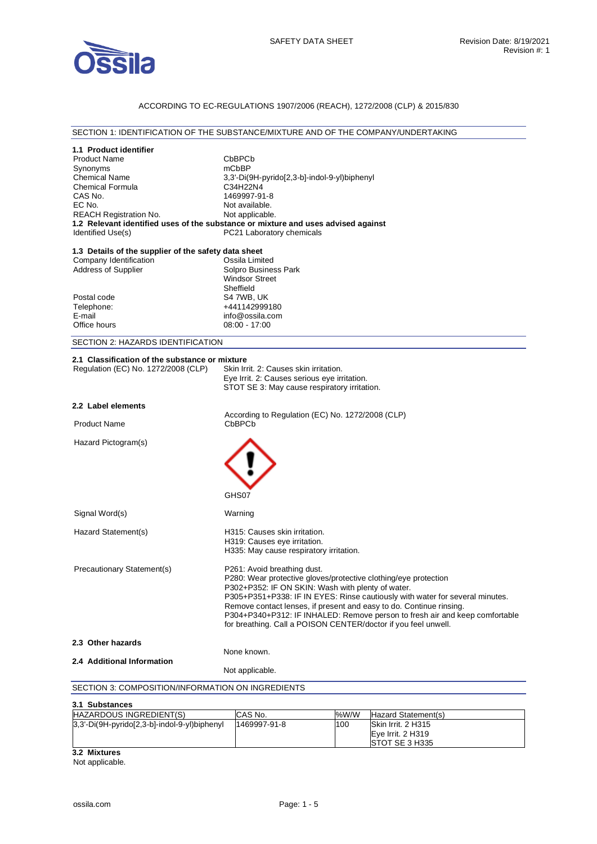

## ACCORDING TO EC-REGULATIONS 1907/2006 (REACH), 1272/2008 (CLP) & 2015/830

#### SECTION 1: IDENTIFICATION OF THE SUBSTANCE/MIXTURE AND OF THE COMPANY/UNDERTAKING

| 1.1 Product identifier                                                            |                                              |                                                                     |      |                                                                              |
|-----------------------------------------------------------------------------------|----------------------------------------------|---------------------------------------------------------------------|------|------------------------------------------------------------------------------|
| <b>Product Name</b>                                                               |                                              | CbBPCb                                                              |      |                                                                              |
| Synonyms                                                                          | mCbBP                                        |                                                                     |      |                                                                              |
| <b>Chemical Name</b>                                                              | 3,3'-Di(9H-pyrido[2,3-b]-indol-9-yl)biphenyl |                                                                     |      |                                                                              |
| <b>Chemical Formula</b><br>CAS No.                                                | C34H22N4<br>1469997-91-8                     |                                                                     |      |                                                                              |
| EC No.                                                                            |                                              | Not available.                                                      |      |                                                                              |
| <b>REACH Registration No.</b>                                                     |                                              | Not applicable.                                                     |      |                                                                              |
| 1.2 Relevant identified uses of the substance or mixture and uses advised against |                                              |                                                                     |      |                                                                              |
| Identified Use(s)                                                                 |                                              | PC21 Laboratory chemicals                                           |      |                                                                              |
| 1.3 Details of the supplier of the safety data sheet                              |                                              |                                                                     |      |                                                                              |
| Company Identification                                                            |                                              | Ossila Limited                                                      |      |                                                                              |
| <b>Address of Supplier</b>                                                        |                                              | Solpro Business Park                                                |      |                                                                              |
|                                                                                   |                                              | <b>Windsor Street</b>                                               |      |                                                                              |
|                                                                                   |                                              | Sheffield                                                           |      |                                                                              |
| Postal code                                                                       |                                              | S4 7WB, UK                                                          |      |                                                                              |
| Telephone:<br>E-mail                                                              |                                              | +441142999180<br>info@ossila.com                                    |      |                                                                              |
| Office hours                                                                      |                                              | $08:00 - 17:00$                                                     |      |                                                                              |
|                                                                                   |                                              |                                                                     |      |                                                                              |
| SECTION 2: HAZARDS IDENTIFICATION                                                 |                                              |                                                                     |      |                                                                              |
| 2.1 Classification of the substance or mixture                                    |                                              |                                                                     |      |                                                                              |
| Regulation (EC) No. 1272/2008 (CLP)                                               |                                              | Skin Irrit. 2: Causes skin irritation.                              |      |                                                                              |
|                                                                                   |                                              | Eye Irrit. 2: Causes serious eye irritation.                        |      |                                                                              |
|                                                                                   |                                              | STOT SE 3: May cause respiratory irritation.                        |      |                                                                              |
| 2.2 Label elements                                                                |                                              |                                                                     |      |                                                                              |
|                                                                                   |                                              | According to Regulation (EC) No. 1272/2008 (CLP)                    |      |                                                                              |
| <b>Product Name</b>                                                               |                                              | CbBPCb                                                              |      |                                                                              |
| Hazard Pictogram(s)                                                               | GHS07                                        |                                                                     |      |                                                                              |
| Signal Word(s)                                                                    |                                              | Warning                                                             |      |                                                                              |
|                                                                                   |                                              |                                                                     |      |                                                                              |
| Hazard Statement(s)                                                               |                                              | H315: Causes skin irritation.<br>H319: Causes eye irritation.       |      |                                                                              |
|                                                                                   |                                              | H335: May cause respiratory irritation.                             |      |                                                                              |
|                                                                                   |                                              |                                                                     |      |                                                                              |
| Precautionary Statement(s)                                                        |                                              | P261: Avoid breathing dust.                                         |      |                                                                              |
|                                                                                   |                                              | P280: Wear protective gloves/protective clothing/eye protection     |      |                                                                              |
|                                                                                   |                                              | P302+P352: IF ON SKIN: Wash with plenty of water.                   |      |                                                                              |
|                                                                                   |                                              |                                                                     |      | P305+P351+P338: IF IN EYES: Rinse cautiously with water for several minutes. |
|                                                                                   |                                              | Remove contact lenses, if present and easy to do. Continue rinsing. |      |                                                                              |
|                                                                                   |                                              | for breathing. Call a POISON CENTER/doctor if you feel unwell.      |      | P304+P340+P312: IF INHALED: Remove person to fresh air and keep comfortable  |
|                                                                                   |                                              |                                                                     |      |                                                                              |
| 2.3 Other hazards                                                                 |                                              |                                                                     |      |                                                                              |
|                                                                                   |                                              | None known.                                                         |      |                                                                              |
| 2.4 Additional Information                                                        |                                              |                                                                     |      |                                                                              |
|                                                                                   |                                              | Not applicable.                                                     |      |                                                                              |
| SECTION 3: COMPOSITION/INFORMATION ON INGREDIENTS                                 |                                              |                                                                     |      |                                                                              |
| 3.1 Substances                                                                    |                                              |                                                                     |      |                                                                              |
| HAZARDOUS INGREDIENT(S)                                                           |                                              | CAS No.                                                             | %W/W | Hazard Statement(s)                                                          |
| 3,3'-Di(9H-pyrido[2,3-b]-indol-9-yl)biphenyl                                      |                                              | 1469997-91-8                                                        | 100  | Skin Irrit. 2 H315                                                           |
|                                                                                   |                                              |                                                                     |      | Eye Irrit. 2 H319                                                            |

**3.2 Mixtures** 

Not applicable.

STOT SE 3 H335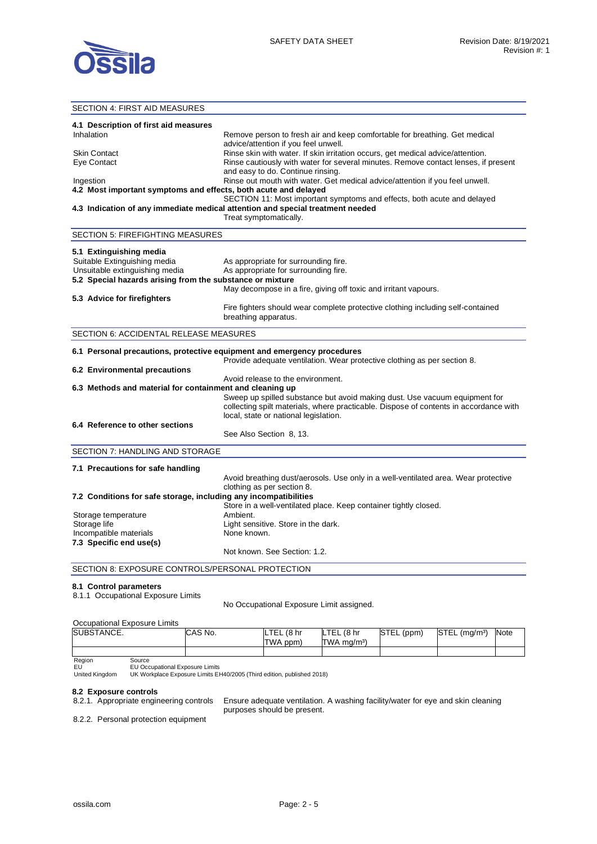

## SECTION 4: FIRST AID MEASURES **4.1 Description of first aid measures**  Inhalation Remove person to fresh air and keep comfortable for breathing. Get medical advice/attention if you feel unwell. Skin Contact **Ringe skin with water. If skin irritation occurs**, get medical advice/attention. Eye Contact **Rinse cautiously with water for several minutes. Remove contact lenses, if present** and easy to do. Continue rinsing. Ingestion Rinse out mouth with water. Get medical advice/attention if you feel unwell. **4.2 Most important symptoms and effects, both acute and delayed**  SECTION 11: Most important symptoms and effects, both acute and delayed **4.3 Indication of any immediate medical attention and special treatment needed**  Treat symptomatically. SECTION 5: FIREFIGHTING MEASURES **5.1 Extinguishing media**  Suitable Extinguishing media As appropriate for surrounding fire. Unsuitable extinguishing media As appropriate for surrounding fire. **5.2 Special hazards arising from the substance or mixture**  May decompose in a fire, giving off toxic and irritant vapours. **5.3 Advice for firefighters**  Fire fighters should wear complete protective clothing including self-contained breathing apparatus. SECTION 6: ACCIDENTAL RELEASE MEASURES **6.1 Personal precautions, protective equipment and emergency procedures**  Provide adequate ventilation. Wear protective clothing as per section 8. **6.2 Environmental precautions**  Avoid release to the environment. **6.3 Methods and material for containment and cleaning up**  Sweep up spilled substance but avoid making dust. Use vacuum equipment for collecting spilt materials, where practicable. Dispose of contents in accordance with local, state or national legislation. **6.4 Reference to other sections**  See Also Section 8, 13. SECTION 7: HANDLING AND STORAGE **7.1 Precautions for safe handling**  Avoid breathing dust/aerosols. Use only in a well-ventilated area. Wear protective clothing as per section 8. **7.2 Conditions for safe storage, including any incompatibilities**  Store in a well-ventilated place. Keep container tightly closed. Storage temperature **Ambient.** Storage life **Light sensitive.** Store in the dark. Incompatible materials None known. **7.3 Specific end use(s)**  Not known. See Section: 1.2. SECTION 8: EXPOSURE CONTROLS/PERSONAL PROTECTION **8.1 Control parameters**  8.1.1 Occupational Exposure Limits No Occupational Exposure Limit assigned.

### Occupational Exposure Limits

| SUBSTANCE. | CAS No. | <b>TEL</b><br>(8 <sub>hr</sub><br>IL.<br>TWA ppm) | LTEL<br>(8 <sub>hr</sub> )<br>$TWA$ ma/m <sup>3</sup> ) | <b>STEL</b><br>(ppm) | <b>STEL</b><br>$(m\alpha/m^3)$ | <b>Note</b> |
|------------|---------|---------------------------------------------------|---------------------------------------------------------|----------------------|--------------------------------|-------------|
|            |         |                                                   |                                                         |                      |                                |             |

#### Region EU Source EU Occupational Exposure Limits

United Kingdom UK Workplace Exposure Limits EH40/2005 (Third edition, published 2018)

### **8.2 Exposure controls**

8.2.1. Appropriate engineering controls Ensure adequate ventilation. A washing facility/water for eye and skin cleaning purposes should be present.

8.2.2. Personal protection equipment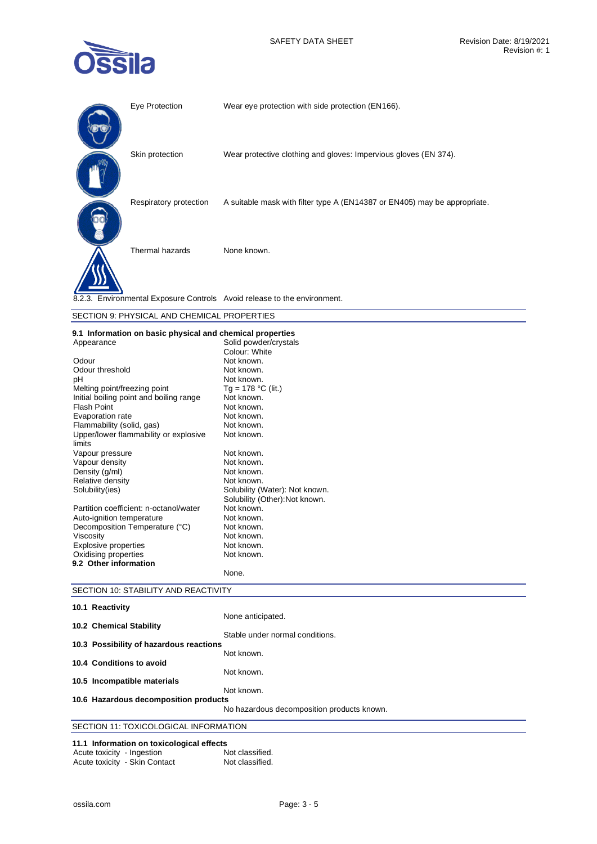

| Eye Protection         | Wear eye protection with side protection (EN166).                         |
|------------------------|---------------------------------------------------------------------------|
| Skin protection        | Wear protective clothing and gloves: Impervious gloves (EN 374).          |
| Respiratory protection | A suitable mask with filter type A (EN14387 or EN405) may be appropriate. |
| Thermal hazards        | None known.                                                               |
|                        | 8.2.3. Environmental Exposure Controls Avoid release to the environment.  |

## SECTION 9: PHYSICAL AND CHEMICAL PROPERTIES

## **9.1 Information on basic physical and chemical properties**

| o. I imornianon on basic physical and chemical propernes<br>Appearance | Solid powder/crystals          |
|------------------------------------------------------------------------|--------------------------------|
|                                                                        | Colour: White                  |
|                                                                        |                                |
| Odour                                                                  | Not known.                     |
| Odour threshold                                                        | Not known.                     |
| рH                                                                     | Not known.                     |
| Melting point/freezing point                                           | Tg = 178 °C (lit.)             |
| Initial boiling point and boiling range                                | Not known.                     |
| <b>Flash Point</b>                                                     | Not known.                     |
| Evaporation rate                                                       | Not known.                     |
| Flammability (solid, gas)                                              | Not known.                     |
| Upper/lower flammability or explosive<br>limits                        | Not known.                     |
| Vapour pressure                                                        | Not known.                     |
| Vapour density                                                         | Not known.                     |
| Density (g/ml)                                                         | Not known.                     |
|                                                                        | Not known.                     |
| Relative density                                                       |                                |
| Solubility(ies)                                                        | Solubility (Water): Not known. |
|                                                                        | Solubility (Other): Not known. |
| Partition coefficient: n-octanol/water                                 | Not known.                     |
| Auto-ignition temperature                                              | Not known.                     |
| Decomposition Temperature (°C)                                         | Not known.                     |
| Viscosity                                                              | Not known.                     |
| <b>Explosive properties</b>                                            | Not known.                     |
| Oxidising properties                                                   | Not known.                     |
| 9.2 Other information                                                  |                                |
|                                                                        | None.                          |

## SECTION 10: STABILITY AND REACTIVITY

| 10.1 Reactivity                         |                                            |
|-----------------------------------------|--------------------------------------------|
| 10.2 Chemical Stability                 | None anticipated.                          |
| 10.3 Possibility of hazardous reactions | Stable under normal conditions.            |
| 10.4 Conditions to avoid                | Not known.                                 |
| 10.5 Incompatible materials             | Not known.                                 |
| 10.6 Hazardous decomposition products   | Not known.                                 |
|                                         | No hazardous decomposition products known. |
| SECTION 11: TOXICOLOGICAL INFORMATION   |                                            |

# **11.1 Information on toxicological effects**

| Acute toxicity - Ingestion |                               | Not classified. |
|----------------------------|-------------------------------|-----------------|
|                            | Acute toxicity - Skin Contact | Not classified. |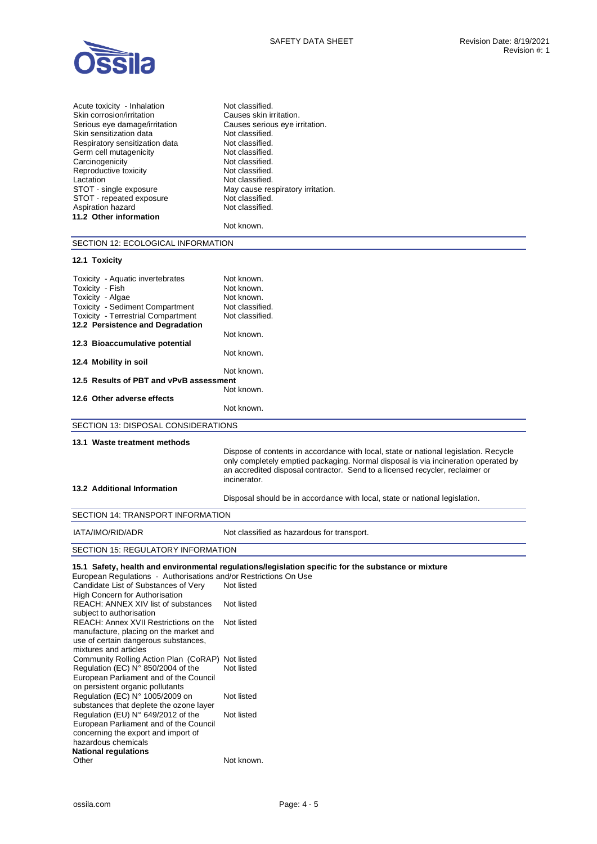| Acute toxicity - Inhalation    | Not classified.                   |
|--------------------------------|-----------------------------------|
| Skin corrosion/irritation      | Causes skin irritation.           |
| Serious eye damage/irritation  | Causes serious eye irritation.    |
| Skin sensitization data        | Not classified.                   |
| Respiratory sensitization data | Not classified.                   |
| Germ cell mutagenicity         | Not classified.                   |
| Carcinogenicity                | Not classified.                   |
| Reproductive toxicity          | Not classified.                   |
| Lactation                      | Not classified.                   |
| STOT - single exposure         | May cause respiratory irritation. |
| STOT - repeated exposure       | Not classified.                   |
| Aspiration hazard              | Not classified.                   |
| 11.2 Other information         |                                   |
|                                | Not known.                        |
|                                |                                   |

SECTION 12: ECOLOGICAL INFORMATION

## **12.1 Toxicity**

| Toxicity - Aquatic invertebrates                                              | Not known.                                                                                                                                                                                                                                                                 |
|-------------------------------------------------------------------------------|----------------------------------------------------------------------------------------------------------------------------------------------------------------------------------------------------------------------------------------------------------------------------|
| Toxicity - Fish                                                               | Not known.                                                                                                                                                                                                                                                                 |
| Toxicity - Algae                                                              | Not known.                                                                                                                                                                                                                                                                 |
| <b>Toxicity - Sediment Compartment</b>                                        | Not classified.                                                                                                                                                                                                                                                            |
| <b>Toxicity - Terrestrial Compartment</b>                                     | Not classified.                                                                                                                                                                                                                                                            |
| 12.2 Persistence and Degradation                                              |                                                                                                                                                                                                                                                                            |
|                                                                               | Not known.                                                                                                                                                                                                                                                                 |
| 12.3 Bioaccumulative potential                                                |                                                                                                                                                                                                                                                                            |
|                                                                               | Not known.                                                                                                                                                                                                                                                                 |
| 12.4 Mobility in soil                                                         |                                                                                                                                                                                                                                                                            |
|                                                                               | Not known.                                                                                                                                                                                                                                                                 |
| 12.5 Results of PBT and vPvB assessment                                       |                                                                                                                                                                                                                                                                            |
|                                                                               | Not known.                                                                                                                                                                                                                                                                 |
| 12.6 Other adverse effects                                                    |                                                                                                                                                                                                                                                                            |
|                                                                               | Not known.                                                                                                                                                                                                                                                                 |
| SECTION 13: DISPOSAL CONSIDERATIONS                                           |                                                                                                                                                                                                                                                                            |
| 13.1 Waste treatment methods                                                  |                                                                                                                                                                                                                                                                            |
|                                                                               | Dispose of contents in accordance with local, state or national legislation. Recycle<br>only completely emptied packaging. Normal disposal is via incineration operated by<br>an accredited disposal contractor. Send to a licensed recycler, reclaimer or<br>incinerator. |
| 13.2 Additional Information                                                   |                                                                                                                                                                                                                                                                            |
|                                                                               | Disposal should be in accordance with local, state or national legislation.                                                                                                                                                                                                |
| <b>SECTION 14: TRANSPORT INFORMATION</b>                                      |                                                                                                                                                                                                                                                                            |
| IATA/IMO/RID/ADR                                                              | Not classified as hazardous for transport.                                                                                                                                                                                                                                 |
| <b>SECTION 15: REGULATORY INFORMATION</b>                                     |                                                                                                                                                                                                                                                                            |
| European Regulations - Authorisations and/or Restrictions On Use              | 15.1 Safety, health and environmental regulations/legislation specific for the substance or mixture                                                                                                                                                                        |
| Candidate List of Substances of Very<br><b>High Concern for Authorisation</b> | Not listed                                                                                                                                                                                                                                                                 |
| <b>PEACH: ANNEY YIV liet of substances Mot listed</b>                         |                                                                                                                                                                                                                                                                            |

| High Concern for Authorisation          |            |
|-----------------------------------------|------------|
| REACH: ANNEX XIV list of substances     | Not listed |
| subject to authorisation                |            |
| REACH: Annex XVII Restrictions on the   | Not listed |
| manufacture, placing on the market and  |            |
| use of certain dangerous substances,    |            |
| mixtures and articles                   |            |
| Community Rolling Action Plan (CoRAP)   | Not listed |
| Regulation (EC) N° 850/2004 of the      | Not listed |
| European Parliament and of the Council  |            |
| on persistent organic pollutants        |            |
| Regulation (EC) N° 1005/2009 on         | Not listed |
| substances that deplete the ozone layer |            |
| Regulation (EU) N° 649/2012 of the      | Not listed |
| European Parliament and of the Council  |            |
| concerning the export and import of     |            |
| hazardous chemicals                     |            |
| National regulations                    |            |
| Other                                   | Not known. |